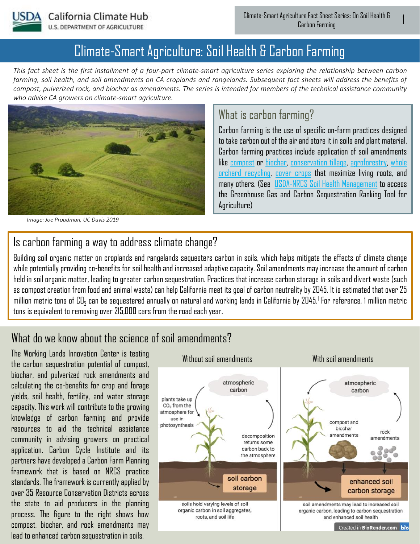

# Climate-Smart Agriculture: Soil Health & Carbon Farming

*This fact sheet is the first installment of a four-part climate-smart agriculture series exploring the relationship between carbon farming, soil health, and soil amendments on CA croplands and rangelands. Subsequent fact sheets will address the benefits of compost, pulverized rock, and biochar as amendments. The series is intended for members of the technical assistance community who advise CA growers on climate-smart agriculture.*



*Image: Joe Proudman, UC Davis 2019*

#### What is carbon farming?

Carbon farming is the use of specific on-farm practices designed to take carbon out of the air and store it in soils and plant material. Carbon farming practices include application of soil amendments like [compost](https://www.marincarbonproject.org/compost) or [biochar](https://biochar-us.org/biochar-basics), [conservation tillage](https://anrcatalog.ucanr.edu/pdf/8364.pdf), [agroforestry](https://www.usda.gov/topics/forestry/agroforestry), whole orchard recycling, [cover crops](https://www.nrcs.usda.gov/wps/portal/nrcs/detail/soils/survey/geo/?cid=nrcs144p2_027123) [that maximize living roots, and](https://orchardrecycling.ucdavis.edu/)  many others. (See [USDA-NRCS Soil Health Management](https://www.nrcs.usda.gov/wps/portal/nrcs/detailfull/soils/health/mgnt/) to access the Greenhouse Gas and Carbon Sequestration Ranking Tool for Agriculture)

#### Is carbon farming a way to address climate change?

Building soil organic matter on croplands and rangelands sequesters carbon in soils, which helps mitigate the effects of climate change while potentially providing co-benefits for soil health and increased adaptive capacity. Soil amendments may increase the amount of carbon held in soil organic matter, leading to greater carbon sequestration. Practices that increase carbon storage in soils and divert waste (such as compost creation from food and animal waste) can help California meet its goal of carbon neutrality by 2045. It is estimated that over 25 million metric tons of CO $_2$  can be sequestered annually on natural and working lands in California by 2045.<sup>1</sup> For reference, 1 million metric tons is equivalent to removing over 215,000 cars from the road each year.

### What do we know about the science of soil amendments?

The Working Lands Innovation Center is testing the carbon sequestration potential of compost, biochar, and pulverized rock amendments and calculating the co-benefits for crop and forage yields, soil health, fertility, and water storage capacity. This work will contribute to the growing knowledge of carbon farming and provide resources to aid the technical assistance community in advising growers on practical application. Carbon Cycle Institute and its partners have developed a Carbon Farm Planning framework that is based on NRCS practice standards. The framework is currently applied by over 35 Resource Conservation Districts across the state to aid producers in the planning process. The figure to the right shows how compost, biochar, and rock amendments may lead to enhanced carbon sequestration in soils.